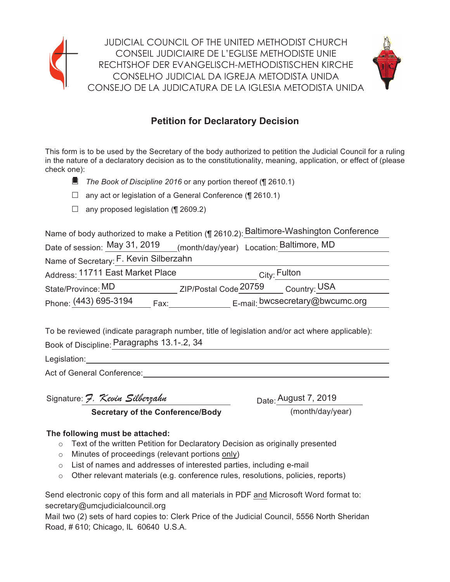



# **Petition for Declaratory Decision**

This form is to be used by the Secretary of the body authorized to petition the Judicial Council for a ruling in the nature of a declaratory decision as to the constitutionality, meaning, application, or effect of (please check one):

- The Book of Discipline 2016 or any portion thereof (¶ 2610.1)
- $\Box$  any act or legislation of a General Conference (¶ 2610.1)
- $\Box$  any proposed legislation (¶ 2609.2)

Name of body authorized to make a Petition (¶ 2610.2): Baltimore-Washington Conference

| Date of session: May 31, 2019          | (month/day/year) Location: Baltimore, MD |
|----------------------------------------|------------------------------------------|
| Name of Secretary: F. Kevin Silberzahn |                                          |
| Address: 11711 East Market Place       | $_{\rm City}$ Fulton                     |
| State/Province: MD                     | ZIP/Postal Code 20759<br>Country: USA    |
| Phone: (443) 695-3194<br>Fax:          | E-mail: bwcsecretary@bwcumc.org          |

To be reviewed (indicate paragraph number, title of legislation and/or act where applicable): Book of Discipline: Paragraphs 13.1-.2, 34

Legislation:

Act of General Conference:

Signature: 7. Kevin Silberzahn

Date: August 7, 2019

**Secretary of the Conference/Body** 

(month/day/year)

### The following must be attached:

- $\circ$  Text of the written Petition for Declaratory Decision as originally presented
- o Minutes of proceedings (relevant portions only)
- $\circ$  List of names and addresses of interested parties, including e-mail
- $\circ$  Other relevant materials (e.g. conference rules, resolutions, policies, reports)

Send electronic copy of this form and all materials in PDF and Microsoft Word format to: secretary@umcjudicialcouncil.org

Mail two (2) sets of hard copies to: Clerk Price of the Judicial Council, 5556 North Sheridan Road, #610; Chicago, IL 60640 U.S.A.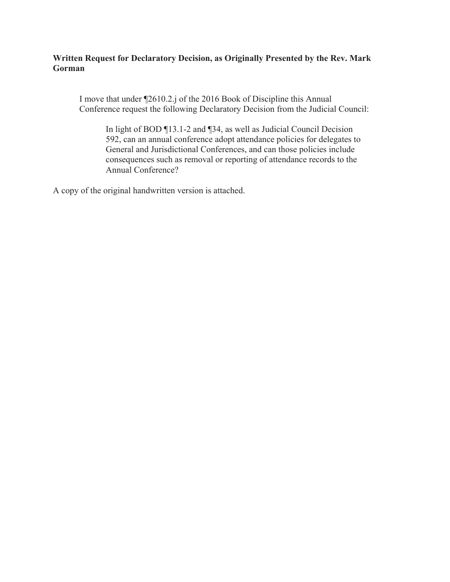### Written Request for Declaratory Decision, as Originally Presented by the Rev. Mark Gorman

I move that under ¶2610.2.j of the 2016 Book of Discipline this Annual Conference request the following Declaratory Decision from the Judicial Council:

In light of BOD ¶13.1-2 and ¶34, as well as Judicial Council Decision 592, can an annual conference adopt attendance policies for delegates to General and Jurisdictional Conferences, and can those policies include consequences such as removal or reporting of attendance records to the **Annual Conference?** 

A copy of the original handwritten version is attached.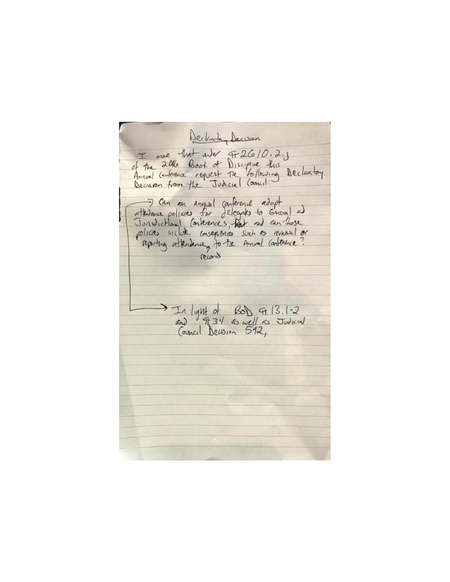Declare Decision I me that and Fr 2610.2.5 of the 20the Book of Disciplue this<br>Annual Centerance request the tollowing Declaritory The an annual conference adapt<br>Torsdictional Conferences works to Gueral and<br>Jorsdictional Conferences with and contribute reporting attendance, to the Amund Contenue? records In light of Bob 9 13.1-2<br>and 9 34 as well as Judicial<br>Council Decision 512,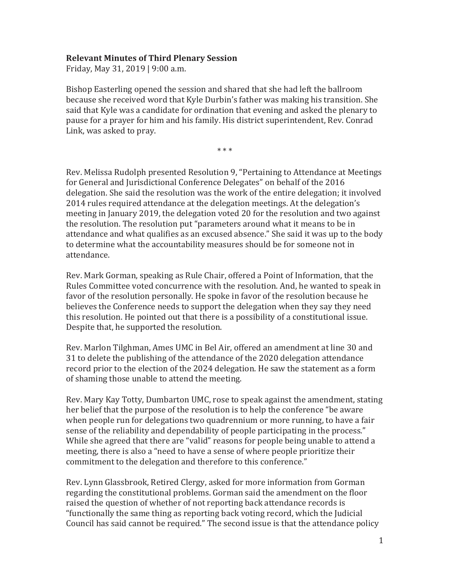#### **Relevant Minutes of Third Plenary Session**

Friday, May 31, 2019 | 9:00 a.m.

Bishop Easterling opened the session and shared that she had left the ballroom because she received word that Kyle Durbin's father was making his transition. She said that Kyle was a candidate for ordination that evening and asked the plenary to pause for a prayer for him and his family. His district superintendent, Rev. Conrad Link, was asked to pray.

 $* * *$ 

Rev. Melissa Rudolph presented Resolution 9, "Pertaining to Attendance at Meetings for General and Jurisdictional Conference Delegates" on behalf of the 2016 delegation. She said the resolution was the work of the entire delegation; it involved 2014 rules required attendance at the delegation meetings. At the delegation's meeting in January 2019, the delegation voted 20 for the resolution and two against the resolution. The resolution put "parameters around what it means to be in attendance and what qualifies as an excused absence." She said it was up to the body to determine what the accountability measures should be for someone not in attendance.

Rev. Mark Gorman, speaking as Rule Chair, offered a Point of Information, that the Rules Committee voted concurrence with the resolution. And, he wanted to speak in favor of the resolution personally. He spoke in favor of the resolution because he believes the Conference needs to support the delegation when they say they need this resolution. He pointed out that there is a possibility of a constitutional issue. Despite that, he supported the resolution.

Rev. Marlon Tilghman, Ames UMC in Bel Air, offered an amendment at line 30 and 31 to delete the publishing of the attendance of the 2020 delegation attendance record prior to the election of the 2024 delegation. He saw the statement as a form of shaming those unable to attend the meeting.

Rev. Mary Kay Totty, Dumbarton UMC, rose to speak against the amendment, stating her belief that the purpose of the resolution is to help the conference "be aware when people run for delegations two quadrennium or more running, to have a fair sense of the reliability and dependability of people participating in the process." While she agreed that there are "valid" reasons for people being unable to attend a meeting, there is also a "need to have a sense of where people prioritize their commitment to the delegation and therefore to this conference."

Rev. Lynn Glassbrook, Retired Clergy, asked for more information from Gorman regarding the constitutional problems. Gorman said the amendment on the floor raised the question of whether of not reporting back attendance records is "functionally the same thing as reporting back voting record, which the Judicial Council has said cannot be required." The second issue is that the attendance policy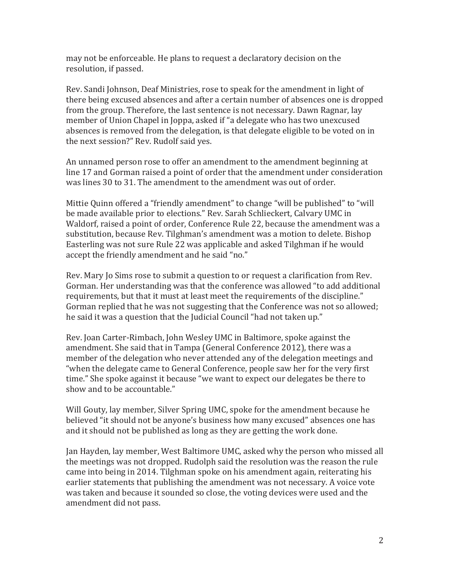may not be enforceable. He plans to request a declaratory decision on the resolution, if passed.

Rev. Sandi Johnson, Deaf Ministries, rose to speak for the amendment in light of there being excused absences and after a certain number of absences one is dropped from the group. Therefore, the last sentence is not necessary. Dawn Ragnar, lay member of Union Chapel in Joppa, asked if "a delegate who has two unexcused absences is removed from the delegation, is that delegate eligible to be voted on in the next session?" Rev. Rudolf said yes.

An unnamed person rose to offer an amendment to the amendment beginning at line 17 and Gorman raised a point of order that the amendment under consideration was lines 30 to 31. The amendment to the amendment was out of order.

Mittie Quinn offered a "friendly amendment" to change "will be published" to "will be made available prior to elections." Rev. Sarah Schlieckert, Calvary UMC in Waldorf, raised a point of order, Conference Rule 22, because the amendment was a substitution, because Rev. Tilghman's amendment was a motion to delete. Bishop Easterling was not sure Rule 22 was applicable and asked Tilghman if he would accept the friendly amendment and he said "no."

Rev. Mary Jo Sims rose to submit a question to or request a clarification from Rev. Gorman. Her understanding was that the conference was allowed "to add additional requirements, but that it must at least meet the requirements of the discipline." Gorman replied that he was not suggesting that the Conference was not so allowed; he said it was a question that the Judicial Council "had not taken up."

Rev. Joan Carter-Rimbach, John Wesley UMC in Baltimore, spoke against the amendment. She said that in Tampa (General Conference 2012), there was a member of the delegation who never attended any of the delegation meetings and "when the delegate came to General Conference, people saw her for the very first time." She spoke against it because "we want to expect our delegates be there to show and to be accountable."

Will Gouty, lay member, Silver Spring UMC, spoke for the amendment because he believed "it should not be anyone's business how many excused" absences one has and it should not be published as long as they are getting the work done.

Jan Hayden, lay member, West Baltimore UMC, asked why the person who missed all the meetings was not dropped. Rudolph said the resolution was the reason the rule came into being in 2014. Tilghman spoke on his amendment again, reiterating his earlier statements that publishing the amendment was not necessary. A voice vote was taken and because it sounded so close, the voting devices were used and the amendment did not pass.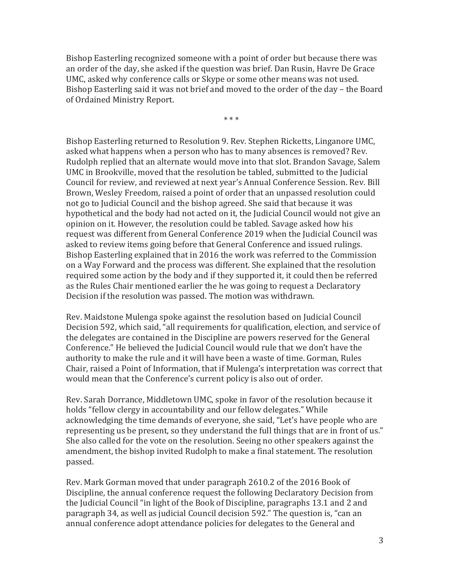Bishop Easterling recognized someone with a point of order but because there was an order of the day, she asked if the question was brief. Dan Rusin, Havre De Grace UMC, asked why conference calls or Skype or some other means was not used. Bishop Easterling said it was not brief and moved to the order of the day – the Board of Ordained Ministry Report.

 $***$ 

Bishop Easterling returned to Resolution 9. Rev. Stephen Ricketts, Linganore UMC. asked what happens when a person who has to many absences is removed? Rev. Rudolph replied that an alternate would move into that slot. Brandon Savage, Salem UMC in Brookville, moved that the resolution be tabled, submitted to the Judicial Council for review, and reviewed at next year's Annual Conference Session. Rev. Bill Brown, Wesley Freedom, raised a point of order that an unpassed resolution could not go to Judicial Council and the bishop agreed. She said that because it was hypothetical and the body had not acted on it, the Judicial Council would not give an opinion on it. However, the resolution could be tabled. Savage asked how his request was different from General Conference 2019 when the Judicial Council was asked to review items going before that General Conference and issued rulings. Bishop Easterling explained that in 2016 the work was referred to the Commission on a Way Forward and the process was different. She explained that the resolution required some action by the body and if they supported it, it could then be referred as the Rules Chair mentioned earlier the he was going to request a Declaratory Decision if the resolution was passed. The motion was withdrawn.

Rev. Maidstone Mulenga spoke against the resolution based on Judicial Council Decision 592, which said, "all requirements for qualification, election, and service of the delegates are contained in the Discipline are powers reserved for the General Conference." He believed the Judicial Council would rule that we don't have the authority to make the rule and it will have been a waste of time. Gorman, Rules Chair, raised a Point of Information, that if Mulenga's interpretation was correct that would mean that the Conference's current policy is also out of order.

Rev. Sarah Dorrance, Middletown UMC, spoke in favor of the resolution because it holds "fellow clergy in accountability and our fellow delegates." While acknowledging the time demands of everyone, she said, "Let's have people who are representing us be present, so they understand the full things that are in front of us." She also called for the vote on the resolution. Seeing no other speakers against the amendment, the bishop invited Rudolph to make a final statement. The resolution passed.

Rev. Mark Gorman moved that under paragraph 2610.2 of the 2016 Book of Discipline, the annual conference request the following Declaratory Decision from the Judicial Council "in light of the Book of Discipline, paragraphs 13.1 and 2 and paragraph 34, as well as judicial Council decision 592." The question is, "can an annual conference adopt attendance policies for delegates to the General and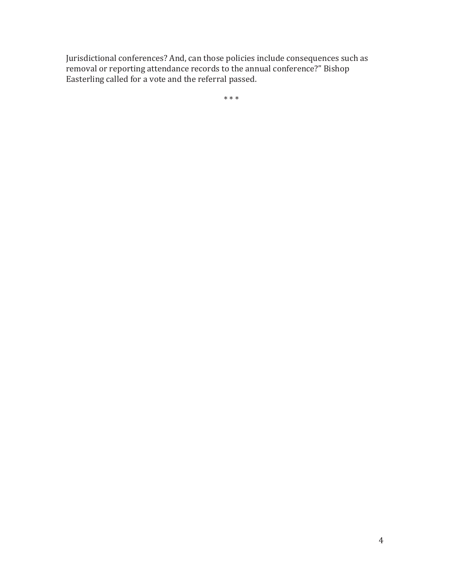Jurisdictional conferences? And, can those policies include consequences such as removal or reporting attendance records to the annual conference?" Bishop Easterling called for a vote and the referral passed.

 $***$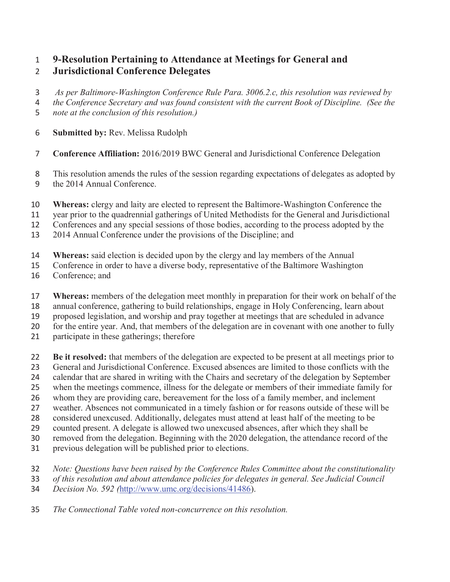## **9-Resolution Pertaining to Attendance at Meetings for General and Jurisdictional Conference Delegates**

- *As per Baltimore-Washington Conference Rule Para. 3006.2.c, this resolution was reviewed by*
- *the Conference Secretary and was found consistent with the current Book of Discipline. (See the*
- *note at the conclusion of this resolution.)*
- **Submitted by:** Rev. Melissa Rudolph
- **Conference Affiliation:** 2016/2019 BWC General and Jurisdictional Conference Delegation
- This resolution amends the rules of the session regarding expectations of delegates as adopted by the 2014 Annual Conference.
- **Whereas:** clergy and laity are elected to represent the Baltimore-Washington Conference the
- year prior to the quadrennial gatherings of United Methodists for the General and Jurisdictional
- Conferences and any special sessions of those bodies, according to the process adopted by the
- 2014 Annual Conference under the provisions of the Discipline; and
- **Whereas:** said election is decided upon by the clergy and lay members of the Annual
- Conference in order to have a diverse body, representative of the Baltimore Washington
- Conference; and
- **Whereas:** members of the delegation meet monthly in preparation for their work on behalf of the
- annual conference, gathering to build relationships, engage in Holy Conferencing, learn about proposed legislation, and worship and pray together at meetings that are scheduled in advance
- for the entire year. And, that members of the delegation are in covenant with one another to fully
- 
- participate in these gatherings; therefore
- **Be it resolved:** that members of the delegation are expected to be present at all meetings prior to
- General and Jurisdictional Conference. Excused absences are limited to those conflicts with the
- calendar that are shared in writing with the Chairs and secretary of the delegation by September
- when the meetings commence, illness for the delegate or members of their immediate family for
- whom they are providing care, bereavement for the loss of a family member, and inclement
- weather. Absences not communicated in a timely fashion or for reasons outside of these will be
- considered unexcused. Additionally, delegates must attend at least half of the meeting to be counted present. A delegate is allowed two unexcused absences, after which they shall be
- removed from the delegation. Beginning with the 2020 delegation, the attendance record of the
- previous delegation will be published prior to elections.
- *Note: Questions have been raised by the Conference Rules Committee about the constitutionality*
- *of this resolution and about attendance policies for delegates in general. See Judicial Council*
- *Decision No. 592 (*http://www.umc.org/decisions/41486).
- *The Connectional Table voted non-concurrence on this resolution.*